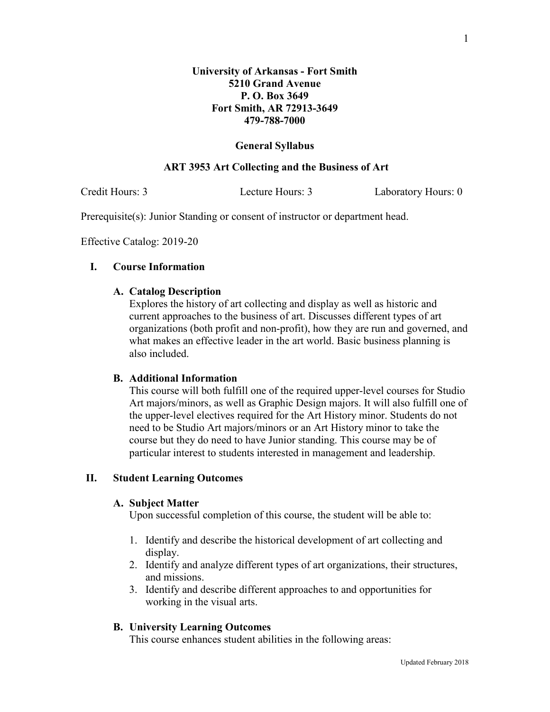# **General Syllabus**

## **ART 3953 Art Collecting and the Business of Art**

Credit Hours: 3 Lecture Hours: 3 Laboratory Hours: 0

Prerequisite(s): Junior Standing or consent of instructor or department head.

Effective Catalog: 2019-20

# **I. Course Information**

## **A. Catalog Description**

Explores the history of art collecting and display as well as historic and current approaches to the business of art. Discusses different types of art organizations (both profit and non-profit), how they are run and governed, and what makes an effective leader in the art world. Basic business planning is also included.

## **B. Additional Information**

This course will both fulfill one of the required upper-level courses for Studio Art majors/minors, as well as Graphic Design majors. It will also fulfill one of the upper-level electives required for the Art History minor. Students do not need to be Studio Art majors/minors or an Art History minor to take the course but they do need to have Junior standing. This course may be of particular interest to students interested in management and leadership.

## **II. Student Learning Outcomes**

#### **A. Subject Matter**

Upon successful completion of this course, the student will be able to:

- 1. Identify and describe the historical development of art collecting and display.
- 2. Identify and analyze different types of art organizations, their structures, and missions.
- 3. Identify and describe different approaches to and opportunities for working in the visual arts.

#### **B. University Learning Outcomes**

This course enhances student abilities in the following areas: